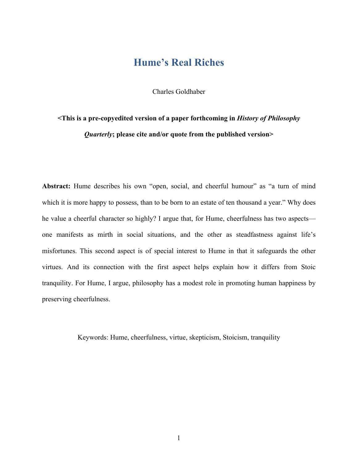## **Hume's Real Riches**

Charles Goldhaber

# **<This is a pre-copyedited version of a paper forthcoming in** *History of Philosophy Quarterly***; please cite and/or quote from the published version>**

Abstract: Hume describes his own "open, social, and cheerful humour" as "a turn of mind which it is more happy to possess, than to be born to an estate of ten thousand a year." Why does he value a cheerful character so highly? I argue that, for Hume, cheerfulness has two aspects one manifests as mirth in social situations, and the other as steadfastness against life's misfortunes. This second aspect is of special interest to Hume in that it safeguards the other virtues. And its connection with the first aspect helps explain how it differs from Stoic tranquility. For Hume, I argue, philosophy has a modest role in promoting human happiness by preserving cheerfulness.

Keywords: Hume, cheerfulness, virtue, skepticism, Stoicism, tranquility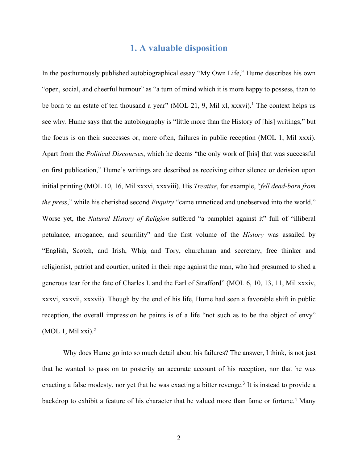### **1. A valuable disposition**

In the posthumously published autobiographical essay "My Own Life," Hume describes his own "open, social, and cheerful humour" as "a turn of mind which it is more happy to possess, than to be born to an estate of ten thousand a year" (MOL 21, 9, Mil xl, xxxvi).<sup>1</sup> The context helps us see why. Hume says that the autobiography is "little more than the History of [his] writings," but the focus is on their successes or, more often, failures in public reception (MOL 1, Mil xxxi). Apart from the *Political Discourses*, which he deems "the only work of [his] that was successful on first publication," Hume's writings are described as receiving either silence or derision upon initial printing (MOL 10, 16, Mil xxxvi, xxxviii). His *Treatise*, for example, "*fell dead-born from the press*," while his cherished second *Enquiry* "came unnoticed and unobserved into the world." Worse yet, the *Natural History of Religion* suffered "a pamphlet against it" full of "illiberal petulance, arrogance, and scurrility" and the first volume of the *History* was assailed by "English, Scotch, and Irish, Whig and Tory, churchman and secretary, free thinker and religionist, patriot and courtier, united in their rage against the man, who had presumed to shed a generous tear for the fate of Charles I. and the Earl of Strafford" (MOL 6, 10, 13, 11, Mil xxxiv, xxxvi, xxxvii, xxxvii). Though by the end of his life, Hume had seen a favorable shift in public reception, the overall impression he paints is of a life "not such as to be the object of envy" (MOL 1, Mil xxi). 2

Why does Hume go into so much detail about his failures? The answer, I think, is not just that he wanted to pass on to posterity an accurate account of his reception, nor that he was enacting a false modesty, nor yet that he was exacting a bitter revenge.<sup>3</sup> It is instead to provide a backdrop to exhibit a feature of his character that he valued more than fame or fortune.4 Many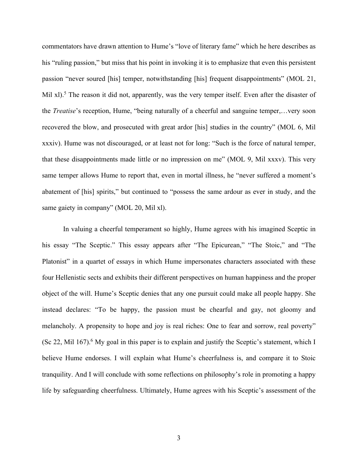commentators have drawn attention to Hume's "love of literary fame" which he here describes as his "ruling passion," but miss that his point in invoking it is to emphasize that even this persistent passion "never soured [his] temper, notwithstanding [his] frequent disappointments" (MOL 21, Mil xl).<sup>5</sup> The reason it did not, apparently, was the very temper itself. Even after the disaster of the *Treatise*'s reception, Hume, "being naturally of a cheerful and sanguine temper,…very soon recovered the blow, and prosecuted with great ardor [his] studies in the country" (MOL 6, Mil xxxiv). Hume was not discouraged, or at least not for long: "Such is the force of natural temper, that these disappointments made little or no impression on me" (MOL 9, Mil xxxv). This very same temper allows Hume to report that, even in mortal illness, he "never suffered a moment's abatement of [his] spirits," but continued to "possess the same ardour as ever in study, and the same gaiety in company" (MOL 20, Mil xl).

In valuing a cheerful temperament so highly, Hume agrees with his imagined Sceptic in his essay "The Sceptic." This essay appears after "The Epicurean," "The Stoic," and "The Platonist" in a quartet of essays in which Hume impersonates characters associated with these four Hellenistic sects and exhibits their different perspectives on human happiness and the proper object of the will. Hume's Sceptic denies that any one pursuit could make all people happy. She instead declares: "To be happy, the passion must be chearful and gay, not gloomy and melancholy. A propensity to hope and joy is real riches: One to fear and sorrow, real poverty" (Sc 22, Mil 167).<sup>6</sup> My goal in this paper is to explain and justify the Sceptic's statement, which I believe Hume endorses. I will explain what Hume's cheerfulness is, and compare it to Stoic tranquility. And I will conclude with some reflections on philosophy's role in promoting a happy life by safeguarding cheerfulness. Ultimately, Hume agrees with his Sceptic's assessment of the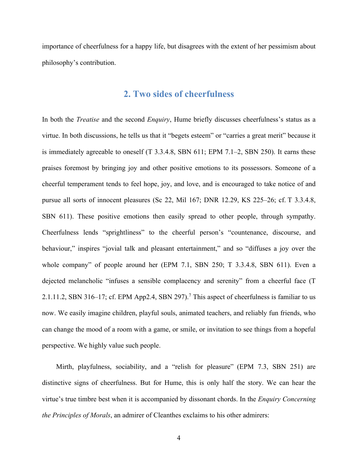importance of cheerfulness for a happy life, but disagrees with the extent of her pessimism about philosophy's contribution.

### **2. Two sides of cheerfulness**

In both the *Treatise* and the second *Enquiry*, Hume briefly discusses cheerfulness's status as a virtue. In both discussions, he tells us that it "begets esteem" or "carries a great merit" because it is immediately agreeable to oneself (T 3.3.4.8, SBN 611; EPM 7.1–2, SBN 250). It earns these praises foremost by bringing joy and other positive emotions to its possessors. Someone of a cheerful temperament tends to feel hope, joy, and love, and is encouraged to take notice of and pursue all sorts of innocent pleasures (Sc 22, Mil 167; DNR 12.29, KS 225–26; cf. T 3.3.4.8, SBN 611). These positive emotions then easily spread to other people, through sympathy. Cheerfulness lends "sprightliness" to the cheerful person's "countenance, discourse, and behaviour," inspires "jovial talk and pleasant entertainment," and so "diffuses a joy over the whole company" of people around her (EPM 7.1, SBN 250; T 3.3.4.8, SBN 611). Even a dejected melancholic "infuses a sensible complacency and serenity" from a cheerful face (T 2.1.11.2, SBN 316-17; cf. EPM App2.4, SBN 297).<sup>7</sup> This aspect of cheerfulness is familiar to us now. We easily imagine children, playful souls, animated teachers, and reliably fun friends, who can change the mood of a room with a game, or smile, or invitation to see things from a hopeful perspective. We highly value such people.

Mirth, playfulness, sociability, and a "relish for pleasure" (EPM 7.3, SBN 251) are distinctive signs of cheerfulness. But for Hume, this is only half the story. We can hear the virtue's true timbre best when it is accompanied by dissonant chords. In the *Enquiry Concerning the Principles of Morals*, an admirer of Cleanthes exclaims to his other admirers: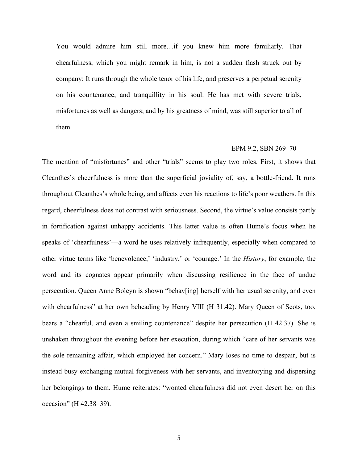You would admire him still more…if you knew him more familiarly. That chearfulness, which you might remark in him, is not a sudden flash struck out by company: It runs through the whole tenor of his life, and preserves a perpetual serenity on his countenance, and tranquillity in his soul. He has met with severe trials, misfortunes as well as dangers; and by his greatness of mind, was still superior to all of them.

#### EPM 9.2, SBN 269–70

The mention of "misfortunes" and other "trials" seems to play two roles. First, it shows that Cleanthes's cheerfulness is more than the superficial joviality of, say, a bottle-friend. It runs throughout Cleanthes's whole being, and affects even his reactions to life's poor weathers. In this regard, cheerfulness does not contrast with seriousness. Second, the virtue's value consists partly in fortification against unhappy accidents. This latter value is often Hume's focus when he speaks of 'chearfulness'—a word he uses relatively infrequently, especially when compared to other virtue terms like 'benevolence,' 'industry,' or 'courage.' In the *History*, for example, the word and its cognates appear primarily when discussing resilience in the face of undue persecution. Queen Anne Boleyn is shown "behav[ing] herself with her usual serenity, and even with chearfulness" at her own beheading by Henry VIII (H 31.42). Mary Queen of Scots, too, bears a "chearful, and even a smiling countenance" despite her persecution (H 42.37). She is unshaken throughout the evening before her execution, during which "care of her servants was the sole remaining affair, which employed her concern." Mary loses no time to despair, but is instead busy exchanging mutual forgiveness with her servants, and inventorying and dispersing her belongings to them. Hume reiterates: "wonted chearfulness did not even desert her on this occasion" (H 42.38–39).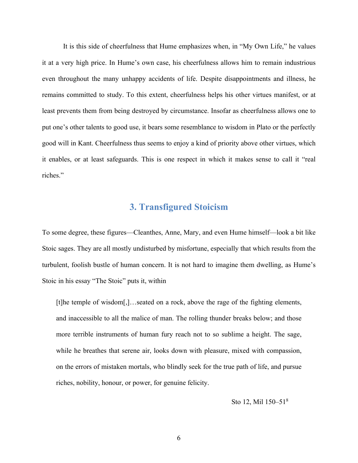It is this side of cheerfulness that Hume emphasizes when, in "My Own Life," he values it at a very high price. In Hume's own case, his cheerfulness allows him to remain industrious even throughout the many unhappy accidents of life. Despite disappointments and illness, he remains committed to study. To this extent, cheerfulness helps his other virtues manifest, or at least prevents them from being destroyed by circumstance. Insofar as cheerfulness allows one to put one's other talents to good use, it bears some resemblance to wisdom in Plato or the perfectly good will in Kant. Cheerfulness thus seems to enjoy a kind of priority above other virtues, which it enables, or at least safeguards. This is one respect in which it makes sense to call it "real riches."

### **3. Transfigured Stoicism**

To some degree, these figures—Cleanthes, Anne, Mary, and even Hume himself—look a bit like Stoic sages. They are all mostly undisturbed by misfortune, especially that which results from the turbulent, foolish bustle of human concern. It is not hard to imagine them dwelling, as Hume's Stoic in his essay "The Stoic" puts it, within

[t]he temple of wisdom[,]…seated on a rock, above the rage of the fighting elements, and inaccessible to all the malice of man. The rolling thunder breaks below; and those more terrible instruments of human fury reach not to so sublime a height. The sage, while he breathes that serene air, looks down with pleasure, mixed with compassion, on the errors of mistaken mortals, who blindly seek for the true path of life, and pursue riches, nobility, honour, or power, for genuine felicity.

Sto 12, Mil 150–518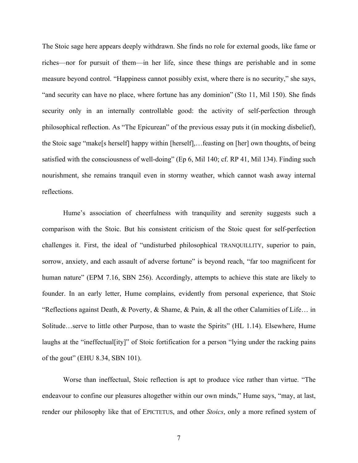The Stoic sage here appears deeply withdrawn. She finds no role for external goods, like fame or riches—nor for pursuit of them—in her life, since these things are perishable and in some measure beyond control. "Happiness cannot possibly exist, where there is no security," she says, "and security can have no place, where fortune has any dominion" (Sto 11, Mil 150). She finds security only in an internally controllable good: the activity of self-perfection through philosophical reflection. As "The Epicurean" of the previous essay puts it (in mocking disbelief), the Stoic sage "make[s herself] happy within [herself],…feasting on [her] own thoughts, of being satisfied with the consciousness of well-doing" (Ep 6, Mil 140; cf. RP 41, Mil 134). Finding such nourishment, she remains tranquil even in stormy weather, which cannot wash away internal reflections.

Hume's association of cheerfulness with tranquility and serenity suggests such a comparison with the Stoic. But his consistent criticism of the Stoic quest for self-perfection challenges it. First, the ideal of "undisturbed philosophical TRANQUILLITY, superior to pain, sorrow, anxiety, and each assault of adverse fortune" is beyond reach, "far too magnificent for human nature" (EPM 7.16, SBN 256). Accordingly, attempts to achieve this state are likely to founder. In an early letter, Hume complains, evidently from personal experience, that Stoic "Reflections against Death, & Poverty, & Shame, & Pain, & all the other Calamities of Life… in Solitude…serve to little other Purpose, than to waste the Spirits" (HL 1.14). Elsewhere, Hume laughs at the "ineffectual[ity]" of Stoic fortification for a person "lying under the racking pains of the gout" (EHU 8.34, SBN 101).

Worse than ineffectual, Stoic reflection is apt to produce vice rather than virtue. "The endeavour to confine our pleasures altogether within our own minds," Hume says, "may, at last, render our philosophy like that of EPICTETUS, and other *Stoics*, only a more refined system of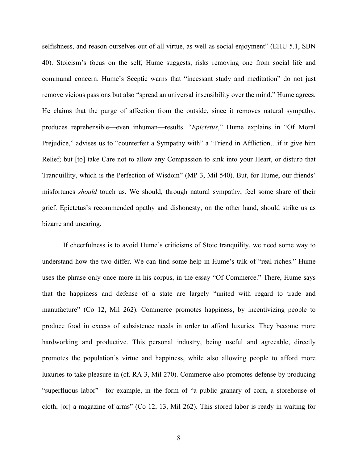selfishness, and reason ourselves out of all virtue, as well as social enjoyment" (EHU 5.1, SBN 40). Stoicism's focus on the self, Hume suggests, risks removing one from social life and communal concern. Hume's Sceptic warns that "incessant study and meditation" do not just remove vicious passions but also "spread an universal insensibility over the mind." Hume agrees. He claims that the purge of affection from the outside, since it removes natural sympathy, produces reprehensible—even inhuman—results. "*Epictetus*," Hume explains in "Of Moral Prejudice," advises us to "counterfeit a Sympathy with" a "Friend in Affliction…if it give him Relief; but [to] take Care not to allow any Compassion to sink into your Heart, or disturb that Tranquillity, which is the Perfection of Wisdom" (MP 3, Mil 540). But, for Hume, our friends' misfortunes *should* touch us. We should, through natural sympathy, feel some share of their grief. Epictetus's recommended apathy and dishonesty, on the other hand, should strike us as bizarre and uncaring.

If cheerfulness is to avoid Hume's criticisms of Stoic tranquility, we need some way to understand how the two differ. We can find some help in Hume's talk of "real riches." Hume uses the phrase only once more in his corpus, in the essay "Of Commerce." There, Hume says that the happiness and defense of a state are largely "united with regard to trade and manufacture" (Co 12, Mil 262). Commerce promotes happiness, by incentivizing people to produce food in excess of subsistence needs in order to afford luxuries. They become more hardworking and productive. This personal industry, being useful and agreeable, directly promotes the population's virtue and happiness, while also allowing people to afford more luxuries to take pleasure in (cf. RA 3, Mil 270). Commerce also promotes defense by producing "superfluous labor"—for example, in the form of "a public granary of corn, a storehouse of cloth, [or] a magazine of arms" (Co 12, 13, Mil 262). This stored labor is ready in waiting for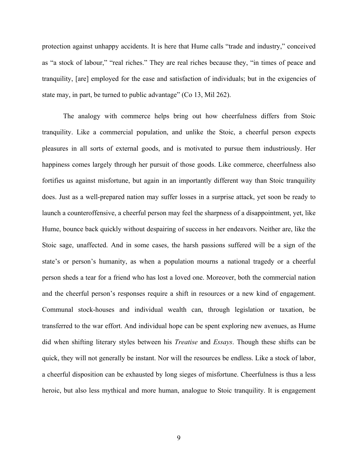protection against unhappy accidents. It is here that Hume calls "trade and industry," conceived as "a stock of labour," "real riches." They are real riches because they, "in times of peace and tranquility, [are] employed for the ease and satisfaction of individuals; but in the exigencies of state may, in part, be turned to public advantage" (Co 13, Mil 262).

The analogy with commerce helps bring out how cheerfulness differs from Stoic tranquility. Like a commercial population, and unlike the Stoic, a cheerful person expects pleasures in all sorts of external goods, and is motivated to pursue them industriously. Her happiness comes largely through her pursuit of those goods. Like commerce, cheerfulness also fortifies us against misfortune, but again in an importantly different way than Stoic tranquility does. Just as a well-prepared nation may suffer losses in a surprise attack, yet soon be ready to launch a counteroffensive, a cheerful person may feel the sharpness of a disappointment, yet, like Hume, bounce back quickly without despairing of success in her endeavors. Neither are, like the Stoic sage, unaffected. And in some cases, the harsh passions suffered will be a sign of the state's or person's humanity, as when a population mourns a national tragedy or a cheerful person sheds a tear for a friend who has lost a loved one. Moreover, both the commercial nation and the cheerful person's responses require a shift in resources or a new kind of engagement. Communal stock-houses and individual wealth can, through legislation or taxation, be transferred to the war effort. And individual hope can be spent exploring new avenues, as Hume did when shifting literary styles between his *Treatise* and *Essays*. Though these shifts can be quick, they will not generally be instant. Nor will the resources be endless. Like a stock of labor, a cheerful disposition can be exhausted by long sieges of misfortune. Cheerfulness is thus a less heroic, but also less mythical and more human, analogue to Stoic tranquility. It is engagement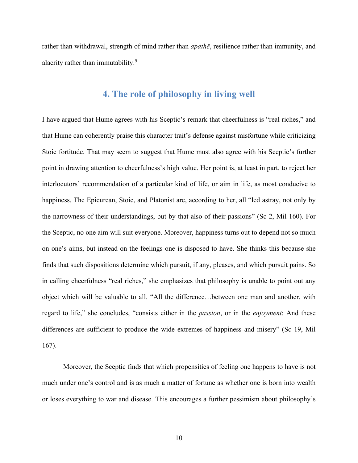rather than withdrawal, strength of mind rather than *apathē*, resilience rather than immunity, and alacrity rather than immutability.<sup>9</sup>

### **4. The role of philosophy in living well**

I have argued that Hume agrees with his Sceptic's remark that cheerfulness is "real riches," and that Hume can coherently praise this character trait's defense against misfortune while criticizing Stoic fortitude. That may seem to suggest that Hume must also agree with his Sceptic's further point in drawing attention to cheerfulness's high value. Her point is, at least in part, to reject her interlocutors' recommendation of a particular kind of life, or aim in life, as most conducive to happiness. The Epicurean, Stoic, and Platonist are, according to her, all "led astray, not only by the narrowness of their understandings, but by that also of their passions" (Sc 2, Mil 160). For the Sceptic, no one aim will suit everyone. Moreover, happiness turns out to depend not so much on one's aims, but instead on the feelings one is disposed to have. She thinks this because she finds that such dispositions determine which pursuit, if any, pleases, and which pursuit pains. So in calling cheerfulness "real riches," she emphasizes that philosophy is unable to point out any object which will be valuable to all. "All the difference…between one man and another, with regard to life," she concludes, "consists either in the *passion*, or in the *enjoyment*: And these differences are sufficient to produce the wide extremes of happiness and misery" (Sc 19, Mil 167).

Moreover, the Sceptic finds that which propensities of feeling one happens to have is not much under one's control and is as much a matter of fortune as whether one is born into wealth or loses everything to war and disease. This encourages a further pessimism about philosophy's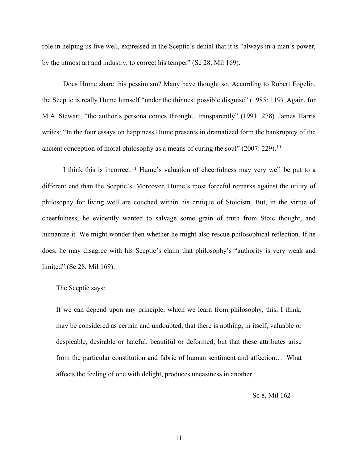role in helping us live well, expressed in the Sceptic's denial that it is "always in a man's power, by the utmost art and industry, to correct his temper" (Sc 28, Mil 169).

Does Hume share this pessimism? Many have thought so. According to Robert Fogelin, the Sceptic is really Hume himself "under the thinnest possible disguise" (1985: 119). Again, for M.A. Stewart, "the author's persona comes through…transparently" (1991: 278) . James Harris writes: "In the four essays on happiness Hume presents in dramatized form the bankruptcy of the ancient conception of moral philosophy as a means of curing the soul"  $(2007: 229).$ <sup>10</sup>

I think this is incorrect.11 Hume's valuation of cheerfulness may very well be put to a different end than the Sceptic's. Moreover, Hume's most forceful remarks against the utility of philosophy for living well are couched within his critique of Stoicism. But, in the virtue of cheerfulness, he evidently wanted to salvage some grain of truth from Stoic thought, and humanize it. We might wonder then whether he might also rescue philosophical reflection. If he does, he may disagree with his Sceptic's claim that philosophy's "authority is very weak and limited" (Sc 28, Mil 169).

The Sceptic says:

If we can depend upon any principle, which we learn from philosophy, this, I think, may be considered as certain and undoubted, that there is nothing, in itself, valuable or despicable, desirable or hateful, beautiful or deformed; but that these attributes arise from the particular constitution and fabric of human sentiment and affection… What affects the feeling of one with delight, produces uneasiness in another.

Sc 8, Mil 162

11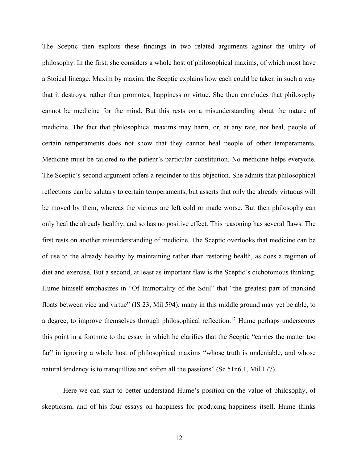The Sceptic then exploits these findings in two related arguments against the utility of philosophy. In the first, she considers a whole host of philosophical maxims, of which most have a Stoical lineage. Maxim by maxim, the Sceptic explains how each could be taken in such a way that it destroys, rather than promotes, happiness or virtue. She then concludes that philosophy cannot be medicine for the mind. But this rests on a misunderstanding about the nature of medicine. The fact that philosophical maxims may harm, or, at any rate, not heal, people of certain temperaments does not show that they cannot heal people of other temperaments. Medicine must be tailored to the patient's particular constitution. No medicine helps everyone. The Sceptic's second argument offers a rejoinder to this objection. She admits that philosophical reflections can be salutary to certain temperaments, but asserts that only the already virtuous will be moved by them, whereas the vicious are left cold or made worse. But then philosophy can only heal the already healthy, and so has no positive effect. This reasoning has several flaws. The first rests on another misunderstanding of medicine. The Sceptic overlooks that medicine can be of use to the already healthy by maintaining rather than restoring health, as does a regimen of diet and exercise. But a second, at least as important flaw is the Sceptic's dichotomous thinking. Hume himself emphasizes in "Of Immortality of the Soul" that "the greatest part of mankind floats between vice and virtue" (IS 23, Mil 594); many in this middle ground may yet be able, to a degree, to improve themselves through philosophical reflection.<sup>12</sup> Hume perhaps underscores this point in a footnote to the essay in which he clarifies that the Sceptic "carries the matter too far" in ignoring a whole host of philosophical maxims "whose truth is undeniable, and whose natural tendency is to tranquillize and soften all the passions" (Sc 51n6.1, Mil 177).

Here we can start to better understand Hume's position on the value of philosophy, of skepticism, and of his four essays on happiness for producing happiness itself. Hume thinks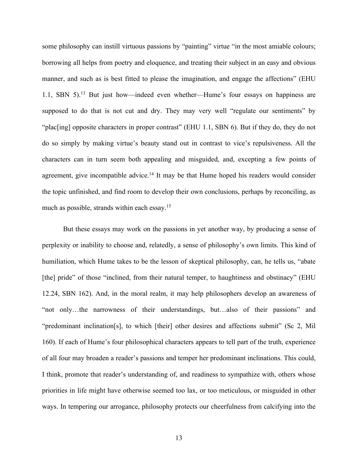some philosophy can instill virtuous passions by "painting" virtue "in the most amiable colours; borrowing all helps from poetry and eloquence, and treating their subject in an easy and obvious manner, and such as is best fitted to please the imagination, and engage the affections" (EHU 1.1, SBN 5).13 But just how—indeed even whether—Hume's four essays on happiness are supposed to do that is not cut and dry. They may very well "regulate our sentiments" by "plac[ing] opposite characters in proper contrast" (EHU 1.1, SBN 6). But if they do, they do not do so simply by making virtue's beauty stand out in contrast to vice's repulsiveness. All the characters can in turn seem both appealing and misguided, and, excepting a few points of agreement, give incompatible advice.<sup>14</sup> It may be that Hume hoped his readers would consider the topic unfinished, and find room to develop their own conclusions, perhaps by reconciling, as much as possible, strands within each essay.<sup>15</sup>

But these essays may work on the passions in yet another way, by producing a sense of perplexity or inability to choose and, relatedly, a sense of philosophy's own limits. This kind of humiliation, which Hume takes to be the lesson of skeptical philosophy, can, he tells us, "abate [the] pride" of those "inclined, from their natural temper, to haughtiness and obstinacy" (EHU) 12.24, SBN 162). And, in the moral realm, it may help philosophers develop an awareness of "not only…the narrowness of their understandings, but…also of their passions" and "predominant inclination[s], to which [their] other desires and affections submit" (Sc 2, Mil 160). If each of Hume's four philosophical characters appears to tell part of the truth, experience of all four may broaden a reader's passions and temper her predominant inclinations. This could, I think, promote that reader's understanding of, and readiness to sympathize with, others whose priorities in life might have otherwise seemed too lax, or too meticulous, or misguided in other ways. In tempering our arrogance, philosophy protects our cheerfulness from calcifying into the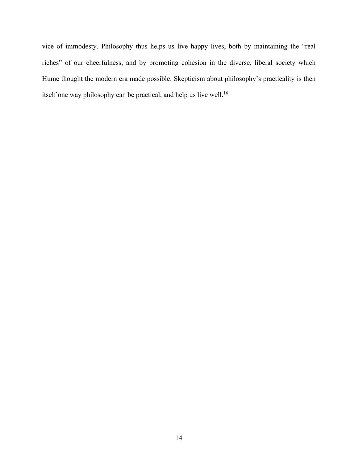vice of immodesty. Philosophy thus helps us live happy lives, both by maintaining the "real riches" of our cheerfulness, and by promoting cohesion in the diverse, liberal society which Hume thought the modern era made possible. Skepticism about philosophy's practicality is then itself one way philosophy can be practical, and help us live well.<sup>16</sup>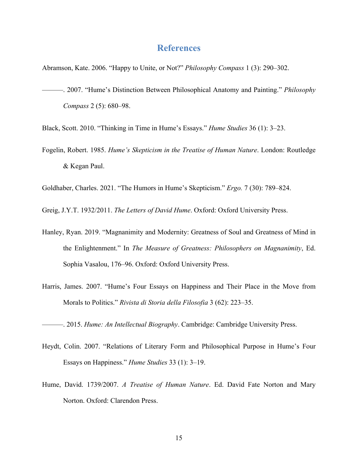### **References**

Abramson, Kate. 2006. "Happy to Unite, or Not?" *Philosophy Compass* 1 (3): 290–302.

- ———. 2007. "Hume's Distinction Between Philosophical Anatomy and Painting." *Philosophy Compass* 2 (5): 680–98.
- Black, Scott. 2010. "Thinking in Time in Hume's Essays." *Hume Studies* 36 (1): 3–23.
- Fogelin, Robert. 1985. *Hume's Skepticism in the Treatise of Human Nature*. London: Routledge & Kegan Paul.

Goldhaber, Charles. 2021. "The Humors in Hume's Skepticism." *Ergo.* 7 (30): 789–824.

Greig, J.Y.T. 1932/2011. *The Letters of David Hume*. Oxford: Oxford University Press.

- Hanley, Ryan. 2019. "Magnanimity and Modernity: Greatness of Soul and Greatness of Mind in the Enlightenment." In *The Measure of Greatness: Philosophers on Magnanimity*, Ed. Sophia Vasalou, 176–96. Oxford: Oxford University Press.
- Harris, James. 2007. "Hume's Four Essays on Happiness and Their Place in the Move from Morals to Politics." *Rivista di Storia della Filosofia* 3 (62): 223–35.

———. 2015. *Hume: An Intellectual Biography*. Cambridge: Cambridge University Press.

- Heydt, Colin. 2007. "Relations of Literary Form and Philosophical Purpose in Hume's Four Essays on Happiness." *Hume Studies* 33 (1): 3–19.
- Hume, David. 1739/2007. *A Treatise of Human Nature*. Ed. David Fate Norton and Mary Norton. Oxford: Clarendon Press.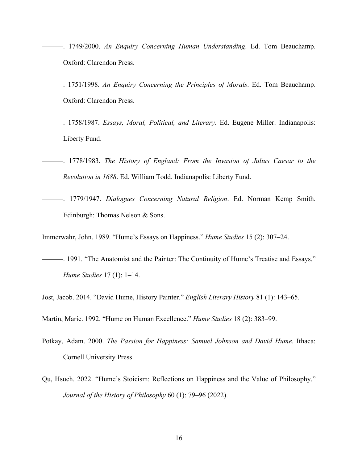- ———. 1749/2000. *An Enquiry Concerning Human Understanding*. Ed. Tom Beauchamp. Oxford: Clarendon Press.
- ———. 1751/1998. *An Enquiry Concerning the Principles of Morals*. Ed. Tom Beauchamp. Oxford: Clarendon Press.
- ———. 1758/1987. *Essays, Moral, Political, and Literary*. Ed. Eugene Miller. Indianapolis: Liberty Fund.
- ———. 1778/1983. *The History of England: From the Invasion of Julius Caesar to the Revolution in 1688*. Ed. William Todd. Indianapolis: Liberty Fund.
- ———. 1779/1947. *Dialogues Concerning Natural Religion*. Ed. Norman Kemp Smith. Edinburgh: Thomas Nelson & Sons.

Immerwahr, John. 1989. "Hume's Essays on Happiness." *Hume Studies* 15 (2): 307–24.

- ———. 1991. "The Anatomist and the Painter: The Continuity of Hume's Treatise and Essays." *Hume Studies* 17 (1): 1–14.
- Jost, Jacob. 2014. "David Hume, History Painter." *English Literary History* 81 (1): 143–65.

Martin, Marie. 1992. "Hume on Human Excellence." *Hume Studies* 18 (2): 383–99.

- Potkay, Adam. 2000. *The Passion for Happiness: Samuel Johnson and David Hume*. Ithaca: Cornell University Press.
- Qu, Hsueh. 2022. "Hume's Stoicism: Reflections on Happiness and the Value of Philosophy." *Journal of the History of Philosophy* 60 (1): 79–96 (2022).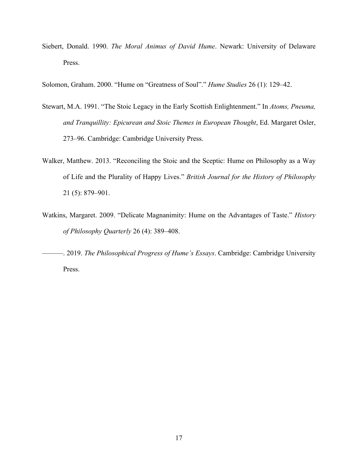Siebert, Donald. 1990. *The Moral Animus of David Hume*. Newark: University of Delaware Press.

Solomon, Graham. 2000. "Hume on "Greatness of Soul"." *Hume Studies* 26 (1): 129–42.

- Stewart, M.A. 1991. "The Stoic Legacy in the Early Scottish Enlightenment." In *Atoms, Pneuma, and Tranquillity: Epicurean and Stoic Themes in European Thought*, Ed. Margaret Osler, 273–96. Cambridge: Cambridge University Press.
- Walker, Matthew. 2013. "Reconciling the Stoic and the Sceptic: Hume on Philosophy as a Way of Life and the Plurality of Happy Lives." *British Journal for the History of Philosophy* 21 (5): 879–901.
- Watkins, Margaret. 2009. "Delicate Magnanimity: Hume on the Advantages of Taste." *History of Philosophy Quarterly* 26 (4): 389–408.

———. 2019. *The Philosophical Progress of Hume's Essays*. Cambridge: Cambridge University Press.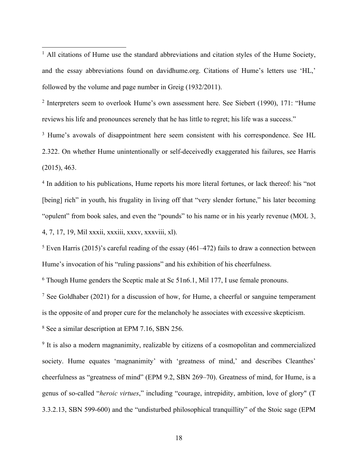<sup>1</sup> All citations of Hume use the standard abbreviations and citation styles of the Hume Society, and the essay abbreviations found on davidhume.org. Citations of Hume's letters use 'HL,' followed by the volume and page number in Greig (1932/2011).

<sup>2</sup> Interpreters seem to overlook Hume's own assessment here. See Siebert (1990), 171: "Hume reviews his life and pronounces serenely that he has little to regret; his life was a success."

<sup>3</sup> Hume's avowals of disappointment here seem consistent with his correspondence. See HL 2.322. On whether Hume unintentionally or self-deceivedly exaggerated his failures, see Harris (2015), 463.

<sup>4</sup> In addition to his publications, Hume reports his more literal fortunes, or lack thereof: his "not [being] rich" in youth, his frugality in living off that "very slender fortune," his later becoming "opulent" from book sales, and even the "pounds" to his name or in his yearly revenue (MOL 3, 4, 7, 17, 19, Mil xxxii, xxxiii, xxxv, xxxviii, xl).

 $5$  Even Harris (2015)'s careful reading of the essay (461–472) fails to draw a connection between Hume's invocation of his "ruling passions" and his exhibition of his cheerfulness.

<sup>6</sup> Though Hume genders the Sceptic male at Sc 51n6.1, Mil 177, I use female pronouns.

<sup>7</sup> See Goldhaber (2021) for a discussion of how, for Hume, a cheerful or sanguine temperament is the opposite of and proper cure for the melancholy he associates with excessive skepticism.

<sup>8</sup> See a similar description at EPM 7.16, SBN 256.

<sup>9</sup> It is also a modern magnanimity, realizable by citizens of a cosmopolitan and commercialized society. Hume equates 'magnanimity' with 'greatness of mind,' and describes Cleanthes' cheerfulness as "greatness of mind" (EPM 9.2, SBN 269–70). Greatness of mind, for Hume, is a genus of so-called "*heroic virtues*," including "courage, intrepidity, ambition, love of glory" (T 3.3.2.13, SBN 599-600) and the "undisturbed philosophical tranquillity" of the Stoic sage (EPM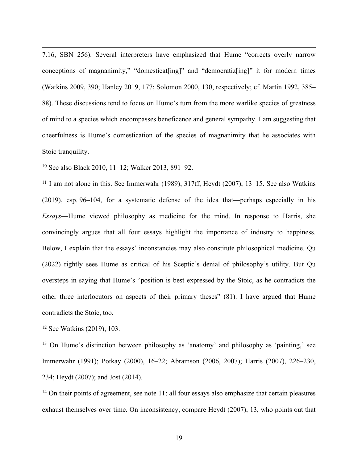7.16, SBN 256). Several interpreters have emphasized that Hume "corrects overly narrow conceptions of magnanimity," "domesticat[ing]" and "democratiz[ing]" it for modern times (Watkins 2009, 390; Hanley 2019, 177; Solomon 2000, 130, respectively; cf. Martin 1992, 385– 88). These discussions tend to focus on Hume's turn from the more warlike species of greatness of mind to a species which encompasses beneficence and general sympathy. I am suggesting that cheerfulness is Hume's domestication of the species of magnanimity that he associates with Stoic tranquility.

<sup>10</sup> See also Black 2010, 11–12; Walker 2013, 891–92.

 $11$  I am not alone in this. See Immerwahr (1989), 317ff, Heydt (2007), 13–15. See also Watkins (2019), esp. 96–104, for a systematic defense of the idea that—perhaps especially in his *Essays*—Hume viewed philosophy as medicine for the mind. In response to Harris, she convincingly argues that all four essays highlight the importance of industry to happiness. Below, I explain that the essays' inconstancies may also constitute philosophical medicine. Qu (2022) rightly sees Hume as critical of his Sceptic's denial of philosophy's utility. But Qu oversteps in saying that Hume's "position is best expressed by the Stoic, as he contradicts the other three interlocutors on aspects of their primary theses" (81). I have argued that Hume contradicts the Stoic, too.

<sup>12</sup> See Watkins (2019), 103.

<sup>13</sup> On Hume's distinction between philosophy as 'anatomy' and philosophy as 'painting,' see Immerwahr (1991); Potkay (2000), 16–22; Abramson (2006, 2007); Harris (2007), 226–230, 234; Heydt (2007); and Jost (2014).

 $14$  On their points of agreement, see note 11; all four essays also emphasize that certain pleasures exhaust themselves over time. On inconsistency, compare Heydt (2007), 13, who points out that